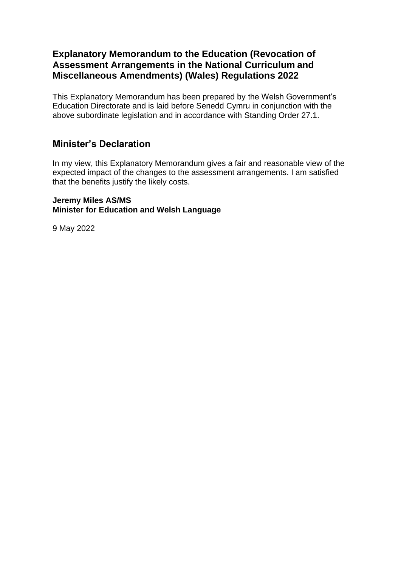### **Explanatory Memorandum to the Education (Revocation of Assessment Arrangements in the National Curriculum and Miscellaneous Amendments) (Wales) Regulations 2022**

This Explanatory Memorandum has been prepared by the Welsh Government's Education Directorate and is laid before Senedd Cymru in conjunction with the above subordinate legislation and in accordance with Standing Order 27.1.

### **Minister's Declaration**

In my view, this Explanatory Memorandum gives a fair and reasonable view of the expected impact of the changes to the assessment arrangements. I am satisfied that the benefits justify the likely costs.

#### **Jeremy Miles AS/MS Minister for Education and Welsh Language**

9 May 2022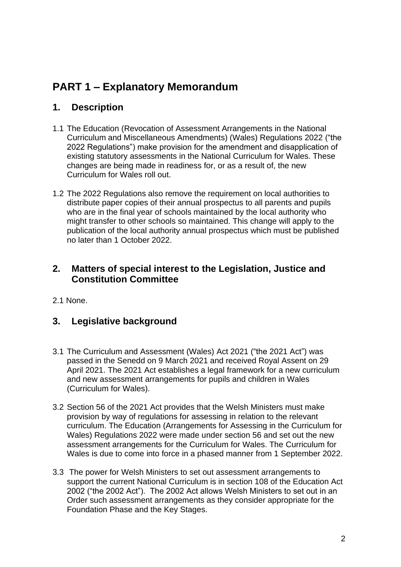# **PART 1 – Explanatory Memorandum**

## **1. Description**

- 1.1 The Education (Revocation of Assessment Arrangements in the National Curriculum and Miscellaneous Amendments) (Wales) Regulations 2022 ("the 2022 Regulations") make provision for the amendment and disapplication of existing statutory assessments in the National Curriculum for Wales. These changes are being made in readiness for, or as a result of, the new Curriculum for Wales roll out.
- 1.2 The 2022 Regulations also remove the requirement on local authorities to distribute paper copies of their annual prospectus to all parents and pupils who are in the final year of schools maintained by the local authority who might transfer to other schools so maintained. This change will apply to the publication of the local authority annual prospectus which must be published no later than 1 October 2022.

## **2. Matters of special interest to the Legislation, Justice and Constitution Committee**

2.1 None.

# **3. Legislative background**

- 3.1 The Curriculum and Assessment (Wales) Act 2021 ("the 2021 Act") was passed in the Senedd on 9 March 2021 and received Royal Assent on 29 April 2021. The 2021 Act establishes a legal framework for a new curriculum and new assessment arrangements for pupils and children in Wales (Curriculum for Wales).
- 3.2 Section 56 of the 2021 Act provides that the Welsh Ministers must make provision by way of regulations for assessing in relation to the relevant curriculum. The Education (Arrangements for Assessing in the Curriculum for Wales) Regulations 2022 were made under section 56 and set out the new assessment arrangements for the Curriculum for Wales. The Curriculum for Wales is due to come into force in a phased manner from 1 September 2022.
- 3.3 The power for Welsh Ministers to set out assessment arrangements to support the current National Curriculum is in section 108 of the Education Act 2002 ("the 2002 Act"). The 2002 Act allows Welsh Ministers to set out in an Order such assessment arrangements as they consider appropriate for the Foundation Phase and the Key Stages.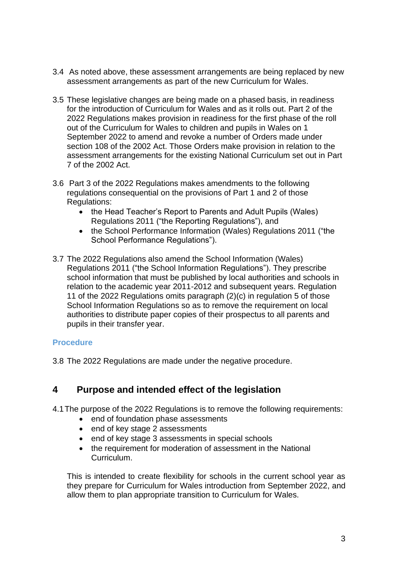- 3.4 As noted above, these assessment arrangements are being replaced by new assessment arrangements as part of the new Curriculum for Wales.
- 3.5 These legislative changes are being made on a phased basis, in readiness for the introduction of Curriculum for Wales and as it rolls out. Part 2 of the 2022 Regulations makes provision in readiness for the first phase of the roll out of the Curriculum for Wales to children and pupils in Wales on 1 September 2022 to amend and revoke a number of Orders made under section 108 of the 2002 Act. Those Orders make provision in relation to the assessment arrangements for the existing National Curriculum set out in Part 7 of the 2002 Act.
- 3.6 Part 3 of the 2022 Regulations makes amendments to the following regulations consequential on the provisions of Part 1 and 2 of those Regulations:
	- the Head Teacher's Report to Parents and Adult Pupils (Wales) Regulations 2011 ("the Reporting Regulations"), and
	- the School Performance Information (Wales) Regulations 2011 ("the School Performance Regulations").
- 3.7 The 2022 Regulations also amend the School Information (Wales) Regulations 2011 ("the School Information Regulations"). They prescribe school information that must be published by local authorities and schools in relation to the academic year 2011-2012 and subsequent years. Regulation 11 of the 2022 Regulations omits paragraph (2)(c) in regulation 5 of those School Information Regulations so as to remove the requirement on local authorities to distribute paper copies of their prospectus to all parents and pupils in their transfer year.

#### **Procedure**

3.8 The 2022 Regulations are made under the negative procedure.

### **4 Purpose and intended effect of the legislation**

4.1The purpose of the 2022 Regulations is to remove the following requirements:

- end of foundation phase assessments
- end of key stage 2 assessments
- end of key stage 3 assessments in special schools
- the requirement for moderation of assessment in the National Curriculum.

This is intended to create flexibility for schools in the current school year as they prepare for Curriculum for Wales introduction from September 2022, and allow them to plan appropriate transition to Curriculum for Wales.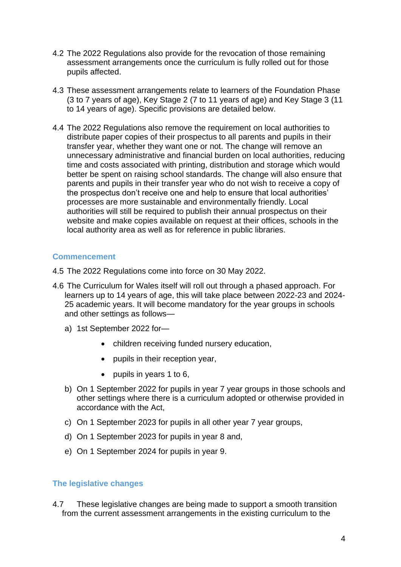- 4.2 The 2022 Regulations also provide for the revocation of those remaining assessment arrangements once the curriculum is fully rolled out for those pupils affected.
- 4.3 These assessment arrangements relate to learners of the Foundation Phase (3 to 7 years of age), Key Stage 2 (7 to 11 years of age) and Key Stage 3 (11 to 14 years of age). Specific provisions are detailed below.
- 4.4 The 2022 Regulations also remove the requirement on local authorities to distribute paper copies of their prospectus to all parents and pupils in their transfer year, whether they want one or not. The change will remove an unnecessary administrative and financial burden on local authorities, reducing time and costs associated with printing, distribution and storage which would better be spent on raising school standards. The change will also ensure that parents and pupils in their transfer year who do not wish to receive a copy of the prospectus don't receive one and help to ensure that local authorities' processes are more sustainable and environmentally friendly. Local authorities will still be required to publish their annual prospectus on their website and make copies available on request at their offices, schools in the local authority area as well as for reference in public libraries.

#### **Commencement**

- 4.5 The 2022 Regulations come into force on 30 May 2022.
- 4.6 The Curriculum for Wales itself will roll out through a phased approach. For learners up to 14 years of age, this will take place between 2022-23 and 2024- 25 academic years. It will become mandatory for the year groups in schools and other settings as follows
	- a) 1st September 2022 for—
		- children receiving funded nursery education,
		- pupils in their reception year,
		- pupils in years 1 to 6,
	- b) On 1 September 2022 for pupils in year 7 year groups in those schools and other settings where there is a curriculum adopted or otherwise provided in accordance with the Act,
	- c) On 1 September 2023 for pupils in all other year 7 year groups,
	- d) On 1 September 2023 for pupils in year 8 and,
	- e) On 1 September 2024 for pupils in year 9.

#### **The legislative changes**

4.7 These legislative changes are being made to support a smooth transition from the current assessment arrangements in the existing curriculum to the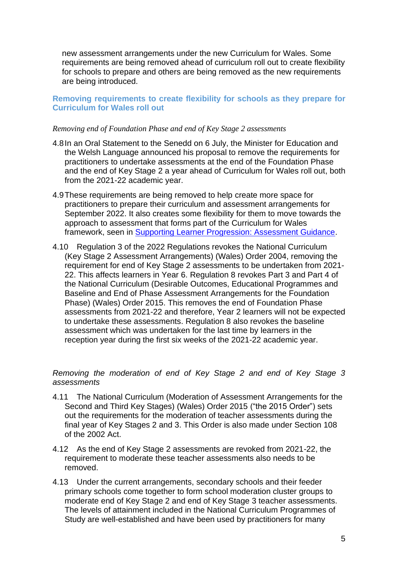new assessment arrangements under the new Curriculum for Wales. Some requirements are being removed ahead of curriculum roll out to create flexibility for schools to prepare and others are being removed as the new requirements are being introduced.

#### **Removing requirements to create flexibility for schools as they prepare for Curriculum for Wales roll out**

#### *Removing end of Foundation Phase and end of Key Stage 2 assessments*

- 4.8In an Oral Statement to the Senedd on 6 July, the Minister for Education and the Welsh Language announced his proposal to remove the requirements for practitioners to undertake assessments at the end of the Foundation Phase and the end of Key Stage 2 a year ahead of Curriculum for Wales roll out, both from the 2021-22 academic year.
- 4.9These requirements are being removed to help create more space for practitioners to prepare their curriculum and assessment arrangements for September 2022. It also creates some flexibility for them to move towards the approach to assessment that forms part of the Curriculum for Wales framework, seen in [Supporting Learner Progression: Assessment Guidance.](https://hwb.gov.wales/curriculum-for-wales/supporting-learner-progression-assessment/supporting-learner-progression-assessment-guidance/)
- 4.10 Regulation 3 of the 2022 Regulations revokes the National Curriculum (Key Stage 2 Assessment Arrangements) (Wales) Order 2004, removing the requirement for end of Key Stage 2 assessments to be undertaken from 2021- 22. This affects learners in Year 6. Regulation 8 revokes Part 3 and Part 4 of the National Curriculum (Desirable Outcomes, Educational Programmes and Baseline and End of Phase Assessment Arrangements for the Foundation Phase) (Wales) Order 2015. This removes the end of Foundation Phase assessments from 2021-22 and therefore, Year 2 learners will not be expected to undertake these assessments. Regulation 8 also revokes the baseline assessment which was undertaken for the last time by learners in the reception year during the first six weeks of the 2021-22 academic year.

#### *Removing the moderation of end of Key Stage 2 and end of Key Stage 3 assessments*

- 4.11 The National Curriculum (Moderation of Assessment Arrangements for the Second and Third Key Stages) (Wales) Order 2015 ("the 2015 Order") sets out the requirements for the moderation of teacher assessments during the final year of Key Stages 2 and 3. This Order is also made under Section 108 of the 2002 Act.
- 4.12 As the end of Key Stage 2 assessments are revoked from 2021-22, the requirement to moderate these teacher assessments also needs to be removed.
- 4.13 Under the current arrangements, secondary schools and their feeder primary schools come together to form school moderation cluster groups to moderate end of Key Stage 2 and end of Key Stage 3 teacher assessments. The levels of attainment included in the National Curriculum Programmes of Study are well-established and have been used by practitioners for many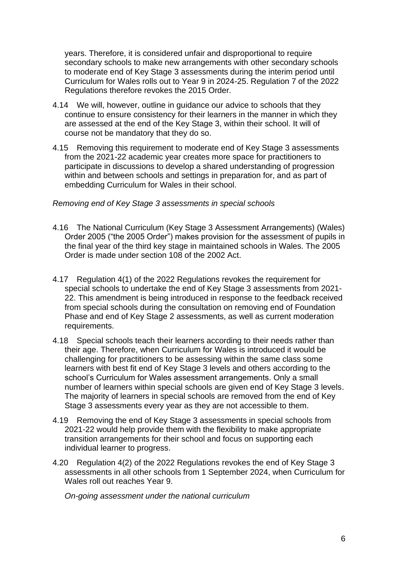years. Therefore, it is considered unfair and disproportional to require secondary schools to make new arrangements with other secondary schools to moderate end of Key Stage 3 assessments during the interim period until Curriculum for Wales rolls out to Year 9 in 2024-25. Regulation 7 of the 2022 Regulations therefore revokes the 2015 Order.

- 4.14 We will, however, outline in guidance our advice to schools that they continue to ensure consistency for their learners in the manner in which they are assessed at the end of the Key Stage 3, within their school. It will of course not be mandatory that they do so.
- 4.15 Removing this requirement to moderate end of Key Stage 3 assessments from the 2021-22 academic year creates more space for practitioners to participate in discussions to develop a shared understanding of progression within and between schools and settings in preparation for, and as part of embedding Curriculum for Wales in their school.

#### *Removing end of Key Stage 3 assessments in special schools*

- 4.16 The National Curriculum (Key Stage 3 Assessment Arrangements) (Wales) Order 2005 ("the 2005 Order") makes provision for the assessment of pupils in the final year of the third key stage in maintained schools in Wales. The 2005 Order is made under section 108 of the 2002 Act.
- 4.17 Regulation 4(1) of the 2022 Regulations revokes the requirement for special schools to undertake the end of Key Stage 3 assessments from 2021- 22. This amendment is being introduced in response to the feedback received from special schools during the consultation on removing end of Foundation Phase and end of Key Stage 2 assessments, as well as current moderation requirements.
- 4.18 Special schools teach their learners according to their needs rather than their age. Therefore, when Curriculum for Wales is introduced it would be challenging for practitioners to be assessing within the same class some learners with best fit end of Key Stage 3 levels and others according to the school's Curriculum for Wales assessment arrangements. Only a small number of learners within special schools are given end of Key Stage 3 levels. The majority of learners in special schools are removed from the end of Key Stage 3 assessments every year as they are not accessible to them.
- 4.19 Removing the end of Key Stage 3 assessments in special schools from 2021-22 would help provide them with the flexibility to make appropriate transition arrangements for their school and focus on supporting each individual learner to progress.
- 4.20 Regulation 4(2) of the 2022 Regulations revokes the end of Key Stage 3 assessments in all other schools from 1 September 2024, when Curriculum for Wales roll out reaches Year 9.

*On-going assessment under the national curriculum*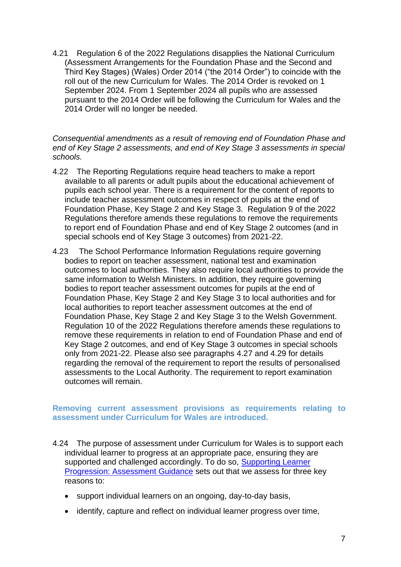4.21 Regulation 6 of the 2022 Regulations disapplies the National Curriculum (Assessment Arrangements for the Foundation Phase and the Second and Third Key Stages) (Wales) Order 2014 ("the 2014 Order") to coincide with the roll out of the new Curriculum for Wales. The 2014 Order is revoked on 1 September 2024. From 1 September 2024 all pupils who are assessed pursuant to the 2014 Order will be following the Curriculum for Wales and the 2014 Order will no longer be needed.

*Consequential amendments as a result of removing end of Foundation Phase and end of Key Stage 2 assessments, and end of Key Stage 3 assessments in special schools.*

- 4.22 The Reporting Regulations require head teachers to make a report available to all parents or adult pupils about the educational achievement of pupils each school year. There is a requirement for the content of reports to include teacher assessment outcomes in respect of pupils at the end of Foundation Phase, Key Stage 2 and Key Stage 3. Regulation 9 of the 2022 Regulations therefore amends these regulations to remove the requirements to report end of Foundation Phase and end of Key Stage 2 outcomes (and in special schools end of Key Stage 3 outcomes) from 2021-22.
- 4.23 The School Performance Information Regulations require governing bodies to report on teacher assessment, national test and examination outcomes to local authorities. They also require local authorities to provide the same information to Welsh Ministers. In addition, they require governing bodies to report teacher assessment outcomes for pupils at the end of Foundation Phase, Key Stage 2 and Key Stage 3 to local authorities and for local authorities to report teacher assessment outcomes at the end of Foundation Phase, Key Stage 2 and Key Stage 3 to the Welsh Government. Regulation 10 of the 2022 Regulations therefore amends these regulations to remove these requirements in relation to end of Foundation Phase and end of Key Stage 2 outcomes, and end of Key Stage 3 outcomes in special schools only from 2021-22. Please also see paragraphs 4.27 and 4.29 for details regarding the removal of the requirement to report the results of personalised assessments to the Local Authority. The requirement to report examination outcomes will remain.

#### **Removing current assessment provisions as requirements relating to assessment under Curriculum for Wales are introduced.**

- 4.24 The purpose of assessment under Curriculum for Wales is to support each individual learner to progress at an appropriate pace, ensuring they are supported and challenged accordingly. To do so, Supporting Learner [Progression: Assessment Guidance](https://hwb.gov.wales/curriculum-for-wales/assessment-arrangements/supporting-learner-progression-assessment-guidance/) sets out that we assess for three key reasons to:
	- support individual learners on an ongoing, day-to-day basis,
	- identify, capture and reflect on individual learner progress over time,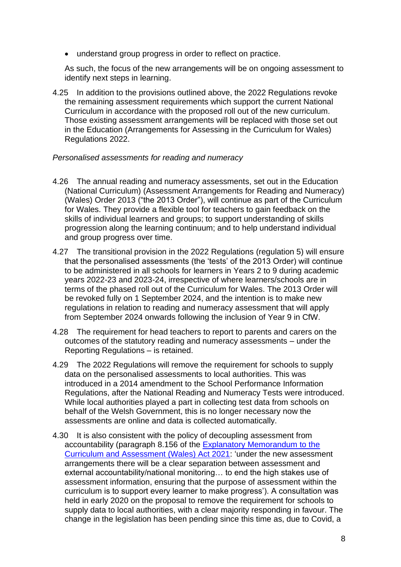• understand group progress in order to reflect on practice.

As such, the focus of the new arrangements will be on ongoing assessment to identify next steps in learning.

4.25 In addition to the provisions outlined above, the 2022 Regulations revoke the remaining assessment requirements which support the current National Curriculum in accordance with the proposed roll out of the new curriculum. Those existing assessment arrangements will be replaced with those set out in the Education (Arrangements for Assessing in the Curriculum for Wales) Regulations 2022.

#### *Personalised assessments for reading and numeracy*

- 4.26 The annual reading and numeracy assessments, set out in the Education (National Curriculum) (Assessment Arrangements for Reading and Numeracy) (Wales) Order 2013 ("the 2013 Order"), will continue as part of the Curriculum for Wales. They provide a flexible tool for teachers to gain feedback on the skills of individual learners and groups; to support understanding of skills progression along the learning continuum; and to help understand individual and group progress over time.
- 4.27 The transitional provision in the 2022 Regulations (regulation 5) will ensure that the personalised assessments (the 'tests' of the 2013 Order) will continue to be administered in all schools for learners in Years 2 to 9 during academic years 2022-23 and 2023-24, irrespective of where learners/schools are in terms of the phased roll out of the Curriculum for Wales. The 2013 Order will be revoked fully on 1 September 2024, and the intention is to make new regulations in relation to reading and numeracy assessment that will apply from September 2024 onwards following the inclusion of Year 9 in CfW.
- 4.28 The requirement for head teachers to report to parents and carers on the outcomes of the statutory reading and numeracy assessments – under the Reporting Regulations – is retained.
- 4.29 The 2022 Regulations will remove the requirement for schools to supply data on the personalised assessments to local authorities. This was introduced in a 2014 amendment to the School Performance Information Regulations, after the National Reading and Numeracy Tests were introduced. While local authorities played a part in collecting test data from schools on behalf of the Welsh Government, this is no longer necessary now the assessments are online and data is collected automatically.
- 4.30 It is also consistent with the policy of decoupling assessment from accountability (paragraph 8.156 of the [Explanatory Memorandum to](https://gov.wales/curriculum-and-assessment-wales-act-explanatory-memorandum) the [Curriculum and Assessment \(Wales\) Act 2021:](https://gov.wales/curriculum-and-assessment-wales-act-explanatory-memorandum) 'under the new assessment arrangements there will be a clear separation between assessment and external accountability/national monitoring… to end the high stakes use of assessment information, ensuring that the purpose of assessment within the curriculum is to support every learner to make progress'). A consultation was held in early 2020 on the proposal to remove the requirement for schools to supply data to local authorities, with a clear majority responding in favour. The change in the legislation has been pending since this time as, due to Covid, a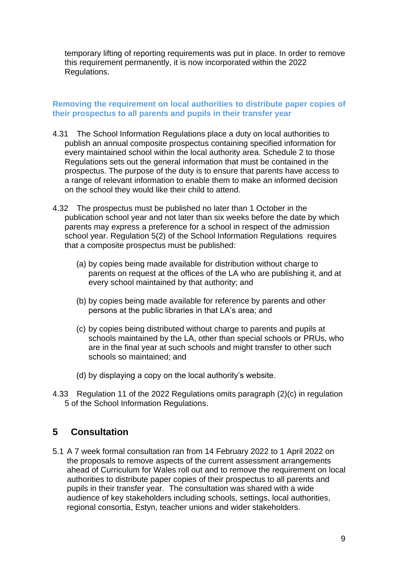temporary lifting of reporting requirements was put in place. In order to remove this requirement permanently, it is now incorporated within the 2022 Regulations.

#### **Removing the requirement on local authorities to distribute paper copies of their prospectus to all parents and pupils in their transfer year**

- 4.31 The School Information Regulations place a duty on local authorities to publish an annual composite prospectus containing specified information for every maintained school within the local authority area. Schedule 2 to those Regulations sets out the general information that must be contained in the prospectus. The purpose of the duty is to ensure that parents have access to a range of relevant information to enable them to make an informed decision on the school they would like their child to attend.
- 4.32 The prospectus must be published no later than 1 October in the publication school year and not later than six weeks before the date by which parents may express a preference for a school in respect of the admission school year. Regulation 5(2) of the School Information Regulations requires that a composite prospectus must be published:
	- (a) by copies being made available for distribution without charge to parents on request at the offices of the LA who are publishing it, and at every school maintained by that authority; and
	- (b) by copies being made available for reference by parents and other persons at the public libraries in that LA's area; and
	- (c) by copies being distributed without charge to parents and pupils at schools maintained by the LA, other than special schools or PRUs, who are in the final year at such schools and might transfer to other such schools so maintained; and
	- (d) by displaying a copy on the local authority's website.
- 4.33 Regulation 11 of the 2022 Regulations omits paragraph (2)(c) in regulation 5 of the School Information Regulations.

## **5 Consultation**

5.1 A 7 week formal consultation ran from 14 February 2022 to 1 April 2022 on the proposals to remove aspects of the current assessment arrangements ahead of Curriculum for Wales roll out and to remove the requirement on local authorities to distribute paper copies of their prospectus to all parents and pupils in their transfer year. The consultation was shared with a wide audience of key stakeholders including schools, settings, local authorities, regional consortia, Estyn, teacher unions and wider stakeholders.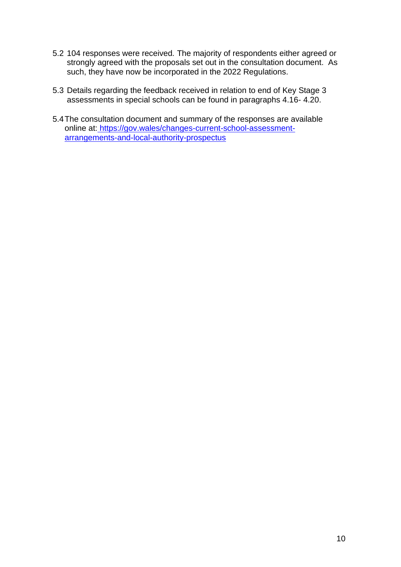- 5.2 104 responses were received*.* The majority of respondents either agreed or strongly agreed with the proposals set out in the consultation document. As such, they have now be incorporated in the 2022 Regulations.
- 5.3 Details regarding the feedback received in relation to end of Key Stage 3 assessments in special schools can be found in paragraphs 4.16- 4.20.
- 5.4The consultation document and summary of the responses are available online at: https://gov.wales/changes-current-school-assessmentarrangements-and-local-authority-prospectus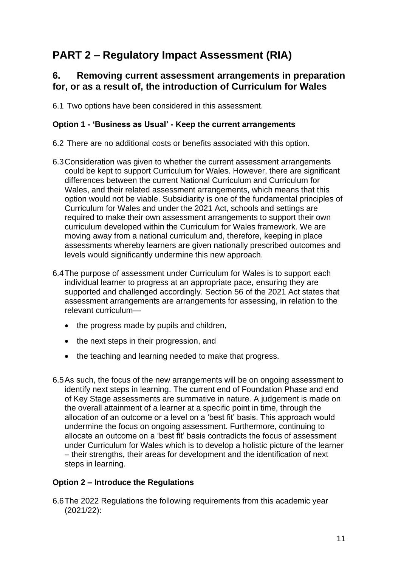# **PART 2 – Regulatory Impact Assessment (RIA)**

## **6. Removing current assessment arrangements in preparation for, or as a result of, the introduction of Curriculum for Wales**

6.1 Two options have been considered in this assessment.

#### **Option 1 - 'Business as Usual' - Keep the current arrangements**

- 6.2 There are no additional costs or benefits associated with this option.
- 6.3Consideration was given to whether the current assessment arrangements could be kept to support Curriculum for Wales. However, there are significant differences between the current National Curriculum and Curriculum for Wales, and their related assessment arrangements, which means that this option would not be viable. Subsidiarity is one of the fundamental principles of Curriculum for Wales and under the 2021 Act, schools and settings are required to make their own assessment arrangements to support their own curriculum developed within the Curriculum for Wales framework. We are moving away from a national curriculum and, therefore, keeping in place assessments whereby learners are given nationally prescribed outcomes and levels would significantly undermine this new approach.
- 6.4The purpose of assessment under Curriculum for Wales is to support each individual learner to progress at an appropriate pace, ensuring they are supported and challenged accordingly. Section 56 of the 2021 Act states that assessment arrangements are arrangements for assessing, in relation to the relevant curriculum—
	- the progress made by pupils and children,
	- the next steps in their progression, and
	- the teaching and learning needed to make that progress.
- 6.5As such, the focus of the new arrangements will be on ongoing assessment to identify next steps in learning. The current end of Foundation Phase and end of Key Stage assessments are summative in nature. A judgement is made on the overall attainment of a learner at a specific point in time, through the allocation of an outcome or a level on a 'best fit' basis. This approach would undermine the focus on ongoing assessment. Furthermore, continuing to allocate an outcome on a 'best fit' basis contradicts the focus of assessment under Curriculum for Wales which is to develop a holistic picture of the learner – their strengths, their areas for development and the identification of next steps in learning.

#### **Option 2 – Introduce the Regulations**

6.6The 2022 Regulations the following requirements from this academic year (2021/22):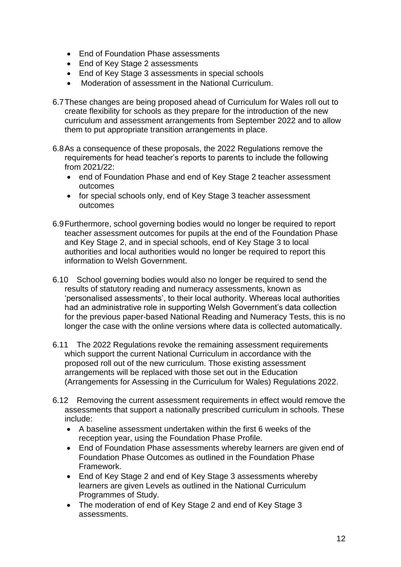- End of Foundation Phase assessments
- End of Key Stage 2 assessments
- End of Key Stage 3 assessments in special schools
- Moderation of assessment in the National Curriculum.
- 6.7These changes are being proposed ahead of Curriculum for Wales roll out to create flexibility for schools as they prepare for the introduction of the new curriculum and assessment arrangements from September 2022 and to allow them to put appropriate transition arrangements in place.
- 6.8As a consequence of these proposals, the 2022 Regulations remove the requirements for head teacher's reports to parents to include the following from 2021/22:
	- end of Foundation Phase and end of Key Stage 2 teacher assessment outcomes
	- for special schools only, end of Key Stage 3 teacher assessment outcomes
- 6.9Furthermore, school governing bodies would no longer be required to report teacher assessment outcomes for pupils at the end of the Foundation Phase and Key Stage 2, and in special schools, end of Key Stage 3 to local authorities and local authorities would no longer be required to report this information to Welsh Government.
- 6.10 School governing bodies would also no longer be required to send the results of statutory reading and numeracy assessments, known as 'personalised assessments', to their local authority. Whereas local authorities had an administrative role in supporting Welsh Government's data collection for the previous paper-based National Reading and Numeracy Tests, this is no longer the case with the online versions where data is collected automatically.
- 6.11 The 2022 Regulations revoke the remaining assessment requirements which support the current National Curriculum in accordance with the proposed roll out of the new curriculum. Those existing assessment arrangements will be replaced with those set out in the Education (Arrangements for Assessing in the Curriculum for Wales) Regulations 2022.
- 6.12 Removing the current assessment requirements in effect would remove the assessments that support a nationally prescribed curriculum in schools. These include:
	- A baseline assessment undertaken within the first 6 weeks of the reception year, using the Foundation Phase Profile.
	- End of Foundation Phase assessments whereby learners are given end of Foundation Phase Outcomes as outlined in the Foundation Phase Framework.
	- End of Key Stage 2 and end of Key Stage 3 assessments whereby learners are given Levels as outlined in the National Curriculum Programmes of Study.
	- The moderation of end of Key Stage 2 and end of Key Stage 3 assessments.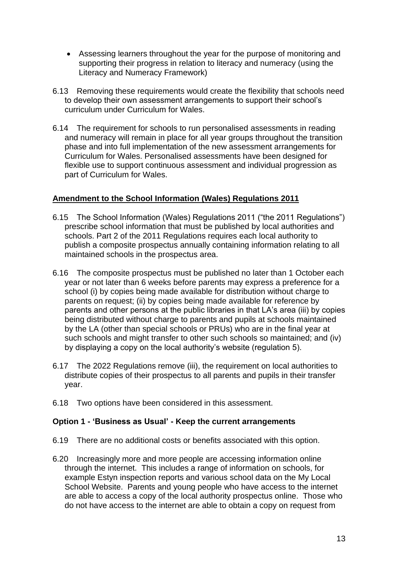- Assessing learners throughout the year for the purpose of monitoring and supporting their progress in relation to literacy and numeracy (using the Literacy and Numeracy Framework)
- 6.13 Removing these requirements would create the flexibility that schools need to develop their own assessment arrangements to support their school's curriculum under Curriculum for Wales.
- 6.14 The requirement for schools to run personalised assessments in reading and numeracy will remain in place for all year groups throughout the transition phase and into full implementation of the new assessment arrangements for Curriculum for Wales. Personalised assessments have been designed for flexible use to support continuous assessment and individual progression as part of Curriculum for Wales.

#### **Amendment to the School Information (Wales) Regulations 2011**

- 6.15 The School Information (Wales) Regulations 2011 ("the 2011 Regulations") prescribe school information that must be published by local authorities and schools. Part 2 of the 2011 Regulations requires each local authority to publish a composite prospectus annually containing information relating to all maintained schools in the prospectus area.
- 6.16 The composite prospectus must be published no later than 1 October each year or not later than 6 weeks before parents may express a preference for a school (i) by copies being made available for distribution without charge to parents on request; (ii) by copies being made available for reference by parents and other persons at the public libraries in that LA's area (iii) by copies being distributed without charge to parents and pupils at schools maintained by the LA (other than special schools or PRUs) who are in the final year at such schools and might transfer to other such schools so maintained; and (iv) by displaying a copy on the local authority's website (regulation 5).
- 6.17 The 2022 Regulations remove (iii), the requirement on local authorities to distribute copies of their prospectus to all parents and pupils in their transfer year.
- 6.18 Two options have been considered in this assessment.

#### **Option 1 - 'Business as Usual' - Keep the current arrangements**

- 6.19 There are no additional costs or benefits associated with this option.
- 6.20 Increasingly more and more people are accessing information online through the internet. This includes a range of information on schools, for example Estyn inspection reports and various school data on the My Local School Website. Parents and young people who have access to the internet are able to access a copy of the local authority prospectus online. Those who do not have access to the internet are able to obtain a copy on request from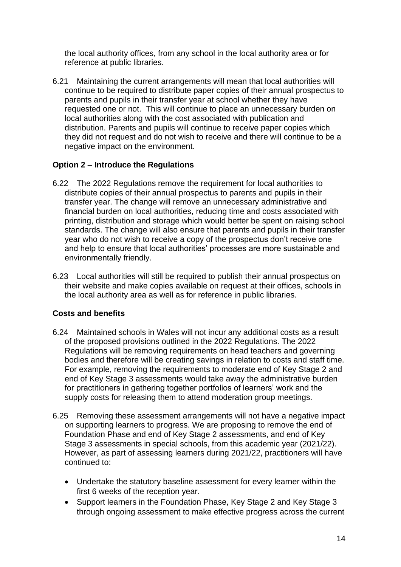the local authority offices, from any school in the local authority area or for reference at public libraries.

6.21 Maintaining the current arrangements will mean that local authorities will continue to be required to distribute paper copies of their annual prospectus to parents and pupils in their transfer year at school whether they have requested one or not. This will continue to place an unnecessary burden on local authorities along with the cost associated with publication and distribution. Parents and pupils will continue to receive paper copies which they did not request and do not wish to receive and there will continue to be a negative impact on the environment.

#### **Option 2 – Introduce the Regulations**

- 6.22 The 2022 Regulations remove the requirement for local authorities to distribute copies of their annual prospectus to parents and pupils in their transfer year. The change will remove an unnecessary administrative and financial burden on local authorities, reducing time and costs associated with printing, distribution and storage which would better be spent on raising school standards. The change will also ensure that parents and pupils in their transfer year who do not wish to receive a copy of the prospectus don't receive one and help to ensure that local authorities' processes are more sustainable and environmentally friendly.
- 6.23 Local authorities will still be required to publish their annual prospectus on their website and make copies available on request at their offices, schools in the local authority area as well as for reference in public libraries.

### **Costs and benefits**

- 6.24 Maintained schools in Wales will not incur any additional costs as a result of the proposed provisions outlined in the 2022 Regulations. The 2022 Regulations will be removing requirements on head teachers and governing bodies and therefore will be creating savings in relation to costs and staff time. For example, removing the requirements to moderate end of Key Stage 2 and end of Key Stage 3 assessments would take away the administrative burden for practitioners in gathering together portfolios of learners' work and the supply costs for releasing them to attend moderation group meetings.
- 6.25 Removing these assessment arrangements will not have a negative impact on supporting learners to progress. We are proposing to remove the end of Foundation Phase and end of Key Stage 2 assessments, and end of Key Stage 3 assessments in special schools, from this academic year (2021/22). However, as part of assessing learners during 2021/22, practitioners will have continued to:
	- Undertake the statutory baseline assessment for every learner within the first 6 weeks of the reception year.
	- Support learners in the Foundation Phase, Key Stage 2 and Key Stage 3 through ongoing assessment to make effective progress across the current